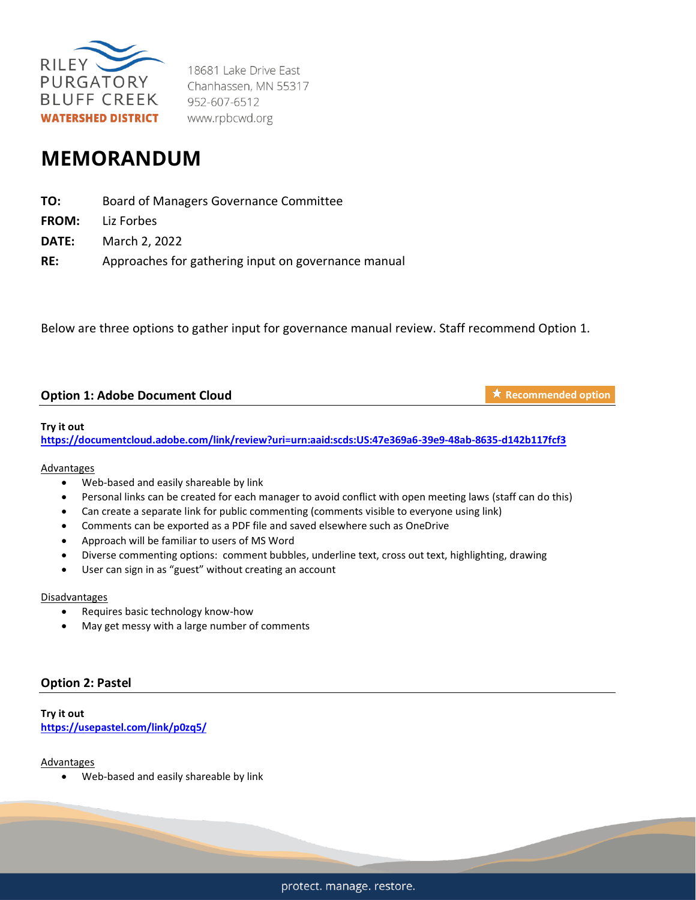

18681 Lake Drive East Chanhassen, MN 55317 952-607-6512 www.rpbcwd.org

# **MEMORANDUM**

| TO:   | Board of Managers Governance Committee              |
|-------|-----------------------------------------------------|
|       | <b>FROM:</b> Liz Forbes                             |
| DATE: | March 2, 2022                                       |
| RE:   | Approaches for gathering input on governance manual |

Below are three options to gather input for governance manual review. Staff recommend Option 1.

# **Option 1: Adobe Document Cloud**

**★ Recommended option** 

## **Try it out**

**<https://documentcloud.adobe.com/link/review?uri=urn:aaid:scds:US:47e369a6-39e9-48ab-8635-d142b117fcf3>**

## Advantages

- Web-based and easily shareable by link
- Personal links can be created for each manager to avoid conflict with open meeting laws (staff can do this)
- Can create a separate link for public commenting (comments visible to everyone using link)
- Comments can be exported as a PDF file and saved elsewhere such as OneDrive
- Approach will be familiar to users of MS Word
- Diverse commenting options: comment bubbles, underline text, cross out text, highlighting, drawing
- User can sign in as "guest" without creating an account

#### **Disadvantages**

- Requires basic technology know-how
- May get messy with a large number of comments

# **Option 2: Pastel**

**Try it out <https://usepastel.com/link/p0zq5/>**

## Advantages

• Web-based and easily shareable by link

protect. manage. restore.